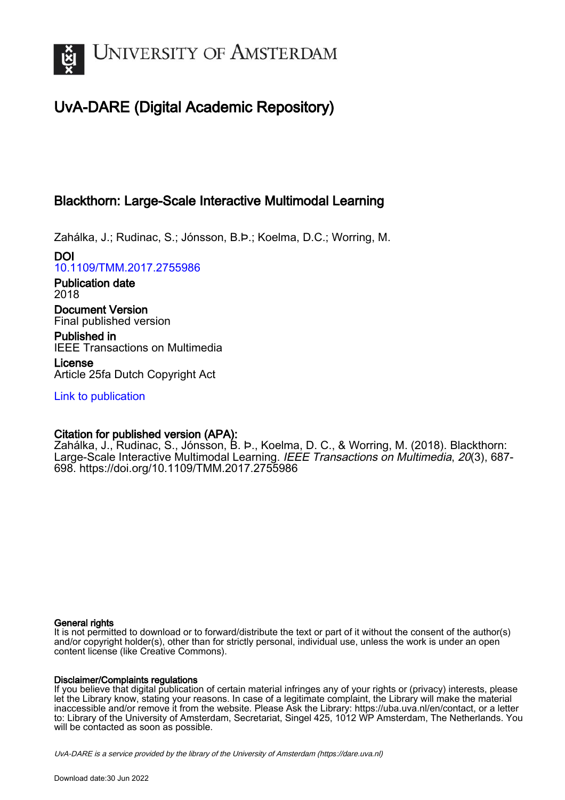

# UvA-DARE (Digital Academic Repository)

# Blackthorn: Large-Scale Interactive Multimodal Learning

Zahálka, J.; Rudinac, S.; Jónsson, B.Þ.; Koelma, D.C.; Worring, M.

DOI [10.1109/TMM.2017.2755986](https://doi.org/10.1109/TMM.2017.2755986)

Publication date 2018

Document Version Final published version

Published in IEEE Transactions on Multimedia

License Article 25fa Dutch Copyright Act

[Link to publication](https://dare.uva.nl/personal/pure/en/publications/blackthorn-largescale-interactive-multimodal-learning(12a00a1f-a2a5-4a5f-802c-c73e3835b6dd).html)

## Citation for published version (APA):

Zahálka, J., Rudinac, S., Jónsson, B. Þ., Koelma, D. C., & Worring, M. (2018). Blackthorn: Large-Scale Interactive Multimodal Learning. IEEE Transactions on Multimedia, 20(3), 687-698. <https://doi.org/10.1109/TMM.2017.2755986>

## General rights

It is not permitted to download or to forward/distribute the text or part of it without the consent of the author(s) and/or copyright holder(s), other than for strictly personal, individual use, unless the work is under an open content license (like Creative Commons).

## Disclaimer/Complaints regulations

If you believe that digital publication of certain material infringes any of your rights or (privacy) interests, please let the Library know, stating your reasons. In case of a legitimate complaint, the Library will make the material inaccessible and/or remove it from the website. Please Ask the Library: https://uba.uva.nl/en/contact, or a letter to: Library of the University of Amsterdam, Secretariat, Singel 425, 1012 WP Amsterdam, The Netherlands. You will be contacted as soon as possible.

UvA-DARE is a service provided by the library of the University of Amsterdam (http*s*://dare.uva.nl)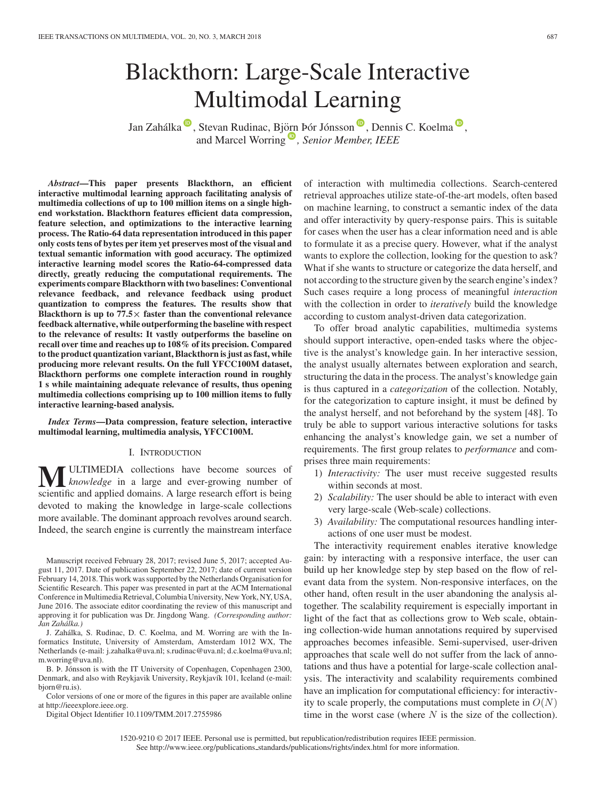# Blackthorn: Large-Scale Interactive Multimodal Learning

Jan Zahálka  $\bullet$ [,](https://orcid.org/0000-0002-2207-5682) Stevan Rudinac, Björn Þór Jónsson  $\bullet$ , Dennis C. Koelma  $\bullet$ , and Marcel Worring<sup>to</sup>, Senior Member, IEEE

*Abstract***—This paper presents Blackthorn, an efficient interactive multimodal learning approach facilitating analysis of multimedia collections of up to 100 million items on a single highend workstation. Blackthorn features efficient data compression, feature selection, and optimizations to the interactive learning process. The Ratio-64 data representation introduced in this paper only costs tens of bytes per item yet preserves most of the visual and textual semantic information with good accuracy. The optimized interactive learning model scores the Ratio-64-compressed data directly, greatly reducing the computational requirements. The experiments compare Blackthorn with two baselines: Conventional relevance feedback, and relevance feedback using product quantization to compress the features. The results show that Blackthorn is up to 77.5***×* **faster than the conventional relevance feedback alternative, while outperforming the baseline with respect to the relevance of results: It vastly outperforms the baseline on recall over time and reaches up to 108% of its precision. Compared to the product quantization variant, Blackthorn is just as fast, while producing more relevant results. On the full YFCC100M dataset, Blackthorn performs one complete interaction round in roughly 1 s while maintaining adequate relevance of results, thus opening multimedia collections comprising up to 100 million items to fully interactive learning-based analysis.**

*Index Terms***—Data compression, feature selection, interactive multimodal learning, multimedia analysis, YFCC100M.**

#### I. INTRODUCTION

**M**ULTIMEDIA collections have become sources of *knowledge* in a large and ever-growing number of executive and ever-growing the being scientific and applied domains. A large research effort is being devoted to making the knowledge in large-scale collections more available. The dominant approach revolves around search. Indeed, the search engine is currently the mainstream interface

Manuscript received February 28, 2017; revised June 5, 2017; accepted August 11, 2017. Date of publication September 22, 2017; date of current version February 14, 2018. This work was supported by the Netherlands Organisation for Scientific Research. This paper was presented in part at the ACM International Conference in Multimedia Retrieval, Columbia University, New York, NY, USA, June 2016. The associate editor coordinating the review of this manuscript and approving it for publication was Dr. Jingdong Wang. *(Corresponding author: Jan Zahalka.) ´*

J. Zahálka, S. Rudinac, D. C. Koelma, and M. Worring are with the Informatics Institute, University of Amsterdam, Amsterdam 1012 WX, The Netherlands (e-mail: j.zahalka@uva.nl; s.rudinac@uva.nl; d.c.koelma@uva.nl; m.worring@uva.nl).

B. Þ. Jónsson is with the IT University of Copenhagen, Copenhagen 2300, Denmark, and also with Reykjavik University, Reykjavík 101, Iceland (e-mail: biorn@ru.is).

Color versions of one or more of the figures in this paper are available online at http://ieeexplore.ieee.org.

Digital Object Identifier 10.1109/TMM.2017.2755986

of interaction with multimedia collections. Search-centered retrieval approaches utilize state-of-the-art models, often based on machine learning, to construct a semantic index of the data and offer interactivity by query-response pairs. This is suitable for cases when the user has a clear information need and is able to formulate it as a precise query. However, what if the analyst wants to explore the collection, looking for the question to ask? What if she wants to structure or categorize the data herself, and not according to the structure given by the search engine's index? Such cases require a long process of meaningful *interaction* with the collection in order to *iteratively* build the knowledge according to custom analyst-driven data categorization.

To offer broad analytic capabilities, multimedia systems should support interactive, open-ended tasks where the objective is the analyst's knowledge gain. In her interactive session, the analyst usually alternates between exploration and search, structuring the data in the process. The analyst's knowledge gain is thus captured in a *categorization* of the collection. Notably, for the categorization to capture insight, it must be defined by the analyst herself, and not beforehand by the system [48]. To truly be able to support various interactive solutions for tasks enhancing the analyst's knowledge gain, we set a number of requirements. The first group relates to *performance* and comprises three main requirements:

- 1) *Interactivity:* The user must receive suggested results within seconds at most.
- 2) *Scalability:* The user should be able to interact with even very large-scale (Web-scale) collections.
- 3) *Availability:* The computational resources handling interactions of one user must be modest.

The interactivity requirement enables iterative knowledge gain: by interacting with a responsive interface, the user can build up her knowledge step by step based on the flow of relevant data from the system. Non-responsive interfaces, on the other hand, often result in the user abandoning the analysis altogether. The scalability requirement is especially important in light of the fact that as collections grow to Web scale, obtaining collection-wide human annotations required by supervised approaches becomes infeasible. Semi-supervised, user-driven approaches that scale well do not suffer from the lack of annotations and thus have a potential for large-scale collection analysis. The interactivity and scalability requirements combined have an implication for computational efficiency: for interactivity to scale properly, the computations must complete in  $O(N)$ time in the worst case (where  $N$  is the size of the collection).

1520-9210 © 2017 IEEE. Personal use is permitted, but republication/redistribution requires IEEE permission. See http://www.ieee.org/publications.standards/publications/rights/index.html for more information.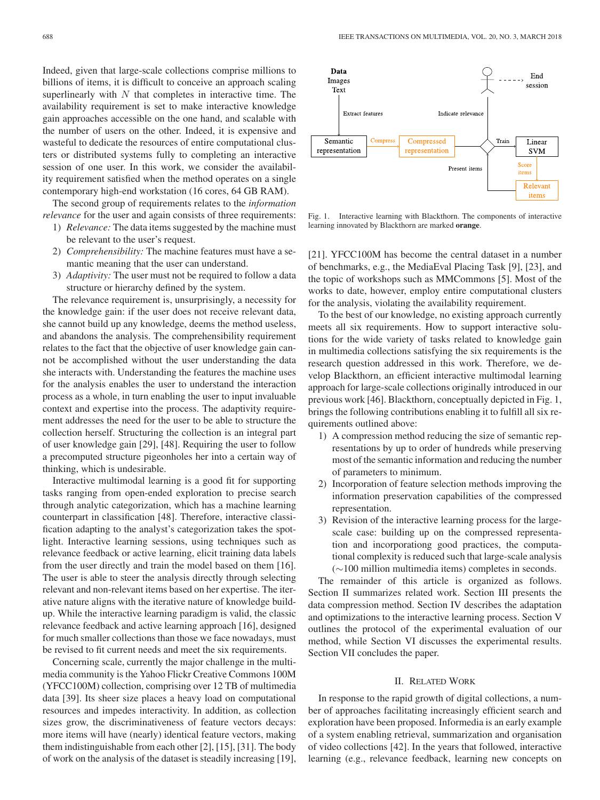Indeed, given that large-scale collections comprise millions to billions of items, it is difficult to conceive an approach scaling superlinearly with  $N$  that completes in interactive time. The availability requirement is set to make interactive knowledge gain approaches accessible on the one hand, and scalable with the number of users on the other. Indeed, it is expensive and wasteful to dedicate the resources of entire computational clusters or distributed systems fully to completing an interactive session of one user. In this work, we consider the availability requirement satisfied when the method operates on a single contemporary high-end workstation (16 cores, 64 GB RAM).

The second group of requirements relates to the *information relevance* for the user and again consists of three requirements:

- 1) *Relevance:* The data items suggested by the machine must be relevant to the user's request.
- 2) *Comprehensibility:* The machine features must have a semantic meaning that the user can understand.
- 3) *Adaptivity:* The user must not be required to follow a data structure or hierarchy defined by the system.

The relevance requirement is, unsurprisingly, a necessity for the knowledge gain: if the user does not receive relevant data, she cannot build up any knowledge, deems the method useless, and abandons the analysis. The comprehensibility requirement relates to the fact that the objective of user knowledge gain cannot be accomplished without the user understanding the data she interacts with. Understanding the features the machine uses for the analysis enables the user to understand the interaction process as a whole, in turn enabling the user to input invaluable context and expertise into the process. The adaptivity requirement addresses the need for the user to be able to structure the collection herself. Structuring the collection is an integral part of user knowledge gain [29], [48]. Requiring the user to follow a precomputed structure pigeonholes her into a certain way of thinking, which is undesirable.

Interactive multimodal learning is a good fit for supporting tasks ranging from open-ended exploration to precise search through analytic categorization, which has a machine learning counterpart in classification [48]. Therefore, interactive classification adapting to the analyst's categorization takes the spotlight. Interactive learning sessions, using techniques such as relevance feedback or active learning, elicit training data labels from the user directly and train the model based on them [16]. The user is able to steer the analysis directly through selecting relevant and non-relevant items based on her expertise. The iterative nature aligns with the iterative nature of knowledge buildup. While the interactive learning paradigm is valid, the classic relevance feedback and active learning approach [16], designed for much smaller collections than those we face nowadays, must be revised to fit current needs and meet the six requirements.

Concerning scale, currently the major challenge in the multimedia community is the Yahoo Flickr Creative Commons 100M (YFCC100M) collection, comprising over 12 TB of multimedia data [39]. Its sheer size places a heavy load on computational resources and impedes interactivity. In addition, as collection sizes grow, the discriminativeness of feature vectors decays: more items will have (nearly) identical feature vectors, making them indistinguishable from each other [2], [15], [31]. The body of work on the analysis of the dataset is steadily increasing [19],



Fig. 1. Interactive learning with Blackthorn. The components of interactive learning innovated by Blackthorn are marked **orange**.

[21]. YFCC100M has become the central dataset in a number of benchmarks, e.g., the MediaEval Placing Task [9], [23], and the topic of workshops such as MMCommons [5]. Most of the works to date, however, employ entire computational clusters for the analysis, violating the availability requirement.

To the best of our knowledge, no existing approach currently meets all six requirements. How to support interactive solutions for the wide variety of tasks related to knowledge gain in multimedia collections satisfying the six requirements is the research question addressed in this work. Therefore, we develop Blackthorn, an efficient interactive multimodal learning approach for large-scale collections originally introduced in our previous work [46]. Blackthorn, conceptually depicted in Fig. 1, brings the following contributions enabling it to fulfill all six requirements outlined above:

- 1) A compression method reducing the size of semantic representations by up to order of hundreds while preserving most of the semantic information and reducing the number of parameters to minimum.
- 2) Incorporation of feature selection methods improving the information preservation capabilities of the compressed representation.
- 3) Revision of the interactive learning process for the largescale case: building up on the compressed representation and incorporationg good practices, the computational complexity is reduced such that large-scale analysis (∼100 million multimedia items) completes in seconds.

The remainder of this article is organized as follows. Section II summarizes related work. Section III presents the data compression method. Section IV describes the adaptation and optimizations to the interactive learning process. Section V outlines the protocol of the experimental evaluation of our method, while Section VI discusses the experimental results. Section VII concludes the paper.

#### II. RELATED WORK

In response to the rapid growth of digital collections, a number of approaches facilitating increasingly efficient search and exploration have been proposed. Informedia is an early example of a system enabling retrieval, summarization and organisation of video collections [42]. In the years that followed, interactive learning (e.g., relevance feedback, learning new concepts on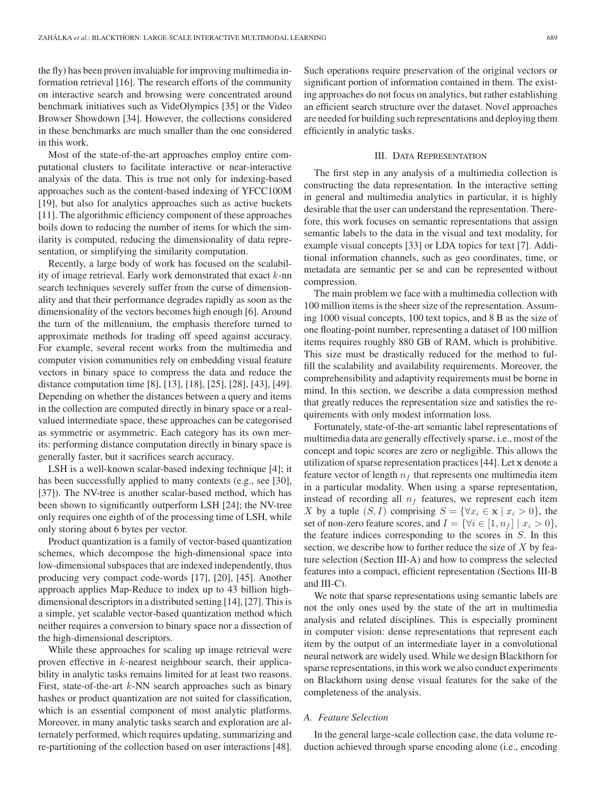the fly) has been proven invaluable for improving multimedia information retrieval [16]. The research efforts of the community on interactive search and browsing were concentrated around benchmark initiatives such as VideOlympics [35] or the Video Browser Showdown [34]. However, the collections considered in these benchmarks are much smaller than the one considered in this work.

Most of the state-of-the-art approaches employ entire computational clusters to facilitate interactive or near-interactive analysis of the data. This is true not only for indexing-based approaches such as the content-based indexing of YFCC100M [19], but also for analytics approaches such as active buckets [11]. The algorithmic efficiency component of these approaches boils down to reducing the number of items for which the similarity is computed, reducing the dimensionality of data representation, or simplifying the similarity computation.

Recently, a large body of work has focused on the scalability of image retrieval. Early work demonstrated that exact  $k$ -nn search techniques severely suffer from the curse of dimensionality and that their performance degrades rapidly as soon as the dimensionality of the vectors becomes high enough [6]. Around the turn of the millennium, the emphasis therefore turned to approximate methods for trading off speed against accuracy. For example, several recent works from the multimedia and computer vision communities rely on embedding visual feature vectors in binary space to compress the data and reduce the distance computation time [8], [13], [18], [25], [28], [43], [49]. Depending on whether the distances between a query and items in the collection are computed directly in binary space or a realvalued intermediate space, these approaches can be categorised as symmetric or asymmetric. Each category has its own merits: performing distance computation directly in binary space is generally faster, but it sacrifices search accuracy.

LSH is a well-known scalar-based indexing technique [4]; it has been successfully applied to many contexts (e.g., see [30], [37]). The NV-tree is another scalar-based method, which has been shown to significantly outperform LSH [24]; the NV-tree only requires one eighth of of the processing time of LSH, while only storing about 6 bytes per vector.

Product quantization is a family of vector-based quantization schemes, which decompose the high-dimensional space into low-dimensional subspaces that are indexed independently, thus producing very compact code-words [17], [20], [45]. Another approach applies Map-Reduce to index up to 43 billion highdimensional descriptors in a distributed setting [14], [27]. This is a simple, yet scalable vector-based quantization method which neither requires a conversion to binary space nor a dissection of the high-dimensional descriptors.

While these approaches for scaling up image retrieval were proven effective in k-nearest neighbour search, their applicability in analytic tasks remains limited for at least two reasons. First, state-of-the-art  $k$ -NN search approaches such as binary hashes or product quantization are not suited for classification, which is an essential component of most analytic platforms. Moreover, in many analytic tasks search and exploration are alternately performed, which requires updating, summarizing and re-partitioning of the collection based on user interactions [48]. Such operations require preservation of the original vectors or significant portion of information contained in them. The existing approaches do not focus on analytics, but rather establishing an efficient search structure over the dataset. Novel approaches are needed for building such representations and deploying them efficiently in analytic tasks.

#### III. DATA REPRESENTATION

The first step in any analysis of a multimedia collection is constructing the data representation. In the interactive setting in general and multimedia analytics in particular, it is highly desirable that the user can understand the representation. Therefore, this work focuses on semantic representations that assign semantic labels to the data in the visual and text modality, for example visual concepts [33] or LDA topics for text [7]. Additional information channels, such as geo coordinates, time, or metadata are semantic per se and can be represented without compression.

The main problem we face with a multimedia collection with 100 million items is the sheer size of the representation. Assuming 1000 visual concepts, 100 text topics, and 8 B as the size of one floating-point number, representing a dataset of 100 million items requires roughly 880 GB of RAM, which is prohibitive. This size must be drastically reduced for the method to fulfill the scalability and availability requirements. Moreover, the comprehensibility and adaptivity requirements must be borne in mind. In this section, we describe a data compression method that greatly reduces the representation size and satisfies the requirements with only modest information loss.

Fortunately, state-of-the-art semantic label representations of multimedia data are generally effectively sparse, i.e., most of the concept and topic scores are zero or negligible. This allows the utilization of sparse representation practices [44]. Let **x** denote a feature vector of length  $n_f$  that represents one multimedia item in a particular modality. When using a sparse representation, instead of recording all  $n_f$  features, we represent each item X by a tuple  $(S, I)$  comprising  $S = \{ \forall x_i \in \mathbf{x} \mid x_i > 0 \}$ , the set of non-zero feature scores, and  $I = \{ \forall i \in [1, n_f] \mid x_i > 0 \},\$ the feature indices corresponding to the scores in  $S$ . In this section, we describe how to further reduce the size of  $X$  by feature selection (Section III-A) and how to compress the selected features into a compact, efficient representation (Sections III-B and III-C).

We note that sparse representations using semantic labels are not the only ones used by the state of the art in multimedia analysis and related disciplines. This is especially prominent in computer vision: dense representations that represent each item by the output of an intermediate layer in a convolutional neural network are widely used. While we design Blackthorn for sparse representations, in this work we also conduct experiments on Blackthorn using dense visual features for the sake of the completeness of the analysis.

#### *A. Feature Selection*

In the general large-scale collection case, the data volume reduction achieved through sparse encoding alone (i.e., encoding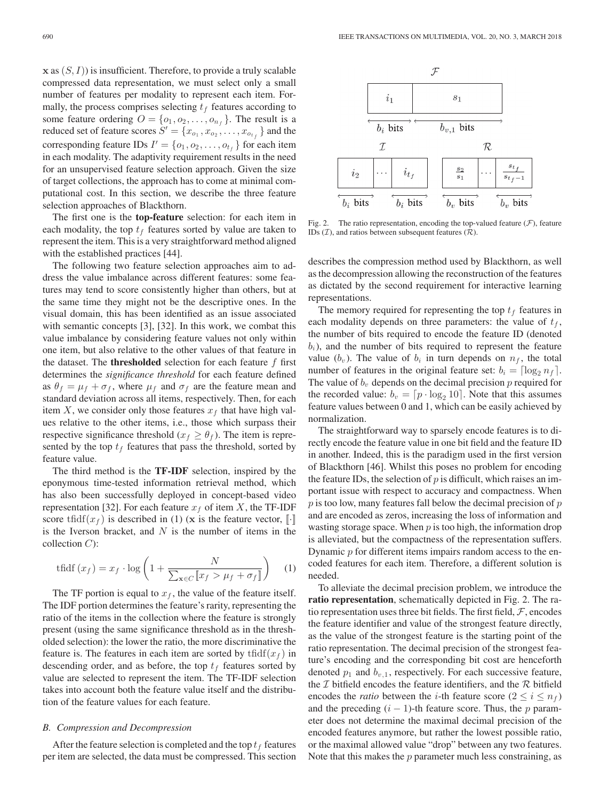$\mathbf{x}$  as  $(S, I)$ ) is insufficient. Therefore, to provide a truly scalable compressed data representation, we must select only a small number of features per modality to represent each item. Formally, the process comprises selecting  $t_f$  features according to some feature ordering  $O = \{o_1, o_2, \ldots, o_{n_f}\}\.$  The result is a reduced set of feature scores  $S' = \{x_{o_1}, x_{o_2}, \ldots, x_{o_{t_f}}\}$  and the corresponding feature IDs  $I' = \{o_1, o_2, \ldots, o_{t_f}\}\$ for each item in each modality. The adaptivity requirement results in the need for an unsupervised feature selection approach. Given the size of target collections, the approach has to come at minimal computational cost. In this section, we describe the three feature selection approaches of Blackthorn.

The first one is the **top-feature** selection: for each item in each modality, the top  $t_f$  features sorted by value are taken to represent the item. This is a very straightforward method aligned with the established practices [44].

The following two feature selection approaches aim to address the value imbalance across different features: some features may tend to score consistently higher than others, but at the same time they might not be the descriptive ones. In the visual domain, this has been identified as an issue associated with semantic concepts [3], [32]. In this work, we combat this value imbalance by considering feature values not only within one item, but also relative to the other values of that feature in the dataset. The **thresholded** selection for each feature  $f$  first determines the *significance threshold* for each feature defined as  $\theta_f = \mu_f + \sigma_f$ , where  $\mu_f$  and  $\sigma_f$  are the feature mean and standard deviation across all items, respectively. Then, for each item X, we consider only those features  $x_f$  that have high values relative to the other items, i.e., those which surpass their respective significance threshold  $(x_f \geq \theta_f)$ . The item is represented by the top  $t_f$  features that pass the threshold, sorted by feature value.

The third method is the **TF-IDF** selection, inspired by the eponymous time-tested information retrieval method, which has also been successfully deployed in concept-based video representation [32]. For each feature  $x_f$  of item X, the TF-IDF score tfidf $(x_f)$  is described in (1) (**x** is the feature vector,  $\lbrack \cdot \rbrack$ is the Iverson bracket, and  $N$  is the number of items in the collection  $C$ :

$$
\text{tfidf}\left(x_f\right) = x_f \cdot \log\left(1 + \frac{N}{\sum_{\mathbf{x} \in C} \left[x_f > \mu_f + \sigma_f\right]}\right) \tag{1}
$$

The TF portion is equal to  $x_f$ , the value of the feature itself. The IDF portion determines the feature's rarity, representing the ratio of the items in the collection where the feature is strongly present (using the same significance threshold as in the thresholded selection): the lower the ratio, the more discriminative the feature is. The features in each item are sorted by  $tfiff(x_f)$  in descending order, and as before, the top  $t_f$  features sorted by value are selected to represent the item. The TF-IDF selection takes into account both the feature value itself and the distribution of the feature values for each feature.

#### *B. Compression and Decompression*

After the feature selection is completed and the top  $t_f$  features per item are selected, the data must be compressed. This section



Fig. 2. The ratio representation, encoding the top-valued feature  $(F)$ , feature IDs  $(I)$ , and ratios between subsequent features  $(R)$ .

describes the compression method used by Blackthorn, as well as the decompression allowing the reconstruction of the features as dictated by the second requirement for interactive learning representations.

The memory required for representing the top  $t_f$  features in each modality depends on three parameters: the value of  $t_f$ , the number of bits required to encode the feature ID (denoted  $b_i$ ), and the number of bits required to represent the feature value  $(b_v)$ . The value of  $b_i$  in turn depends on  $n_f$ , the total number of features in the original feature set:  $b_i = \lceil \log_2 n_f \rceil$ . The value of  $b_v$  depends on the decimal precision  $p$  required for the recorded value:  $b_v = [p \cdot \log_2 10]$ . Note that this assumes feature values between 0 and 1, which can be easily achieved by normalization.

The straightforward way to sparsely encode features is to directly encode the feature value in one bit field and the feature ID in another. Indeed, this is the paradigm used in the first version of Blackthorn [46]. Whilst this poses no problem for encoding the feature IDs, the selection of  $p$  is difficult, which raises an important issue with respect to accuracy and compactness. When  $p$  is too low, many features fall below the decimal precision of  $p$ and are encoded as zeros, increasing the loss of information and wasting storage space. When  $p$  is too high, the information drop is alleviated, but the compactness of the representation suffers. Dynamic p for different items impairs random access to the encoded features for each item. Therefore, a different solution is needed.

To alleviate the decimal precision problem, we introduce the **ratio representation**, schematically depicted in Fig. 2. The ratio representation uses three bit fields. The first field,  $F$ , encodes the feature identifier and value of the strongest feature directly, as the value of the strongest feature is the starting point of the ratio representation. The decimal precision of the strongest feature's encoding and the corresponding bit cost are henceforth denoted  $p_1$  and  $b_{v,1}$ , respectively. For each successive feature, the  $I$  bitfield encodes the feature identifiers, and the  $R$  bitfield encodes the *ratio* between the *i*-th feature score  $(2 \le i \le n_f)$ and the preceding  $(i - 1)$ -th feature score. Thus, the p parameter does not determine the maximal decimal precision of the encoded features anymore, but rather the lowest possible ratio, or the maximal allowed value "drop" between any two features. Note that this makes the  $p$  parameter much less constraining, as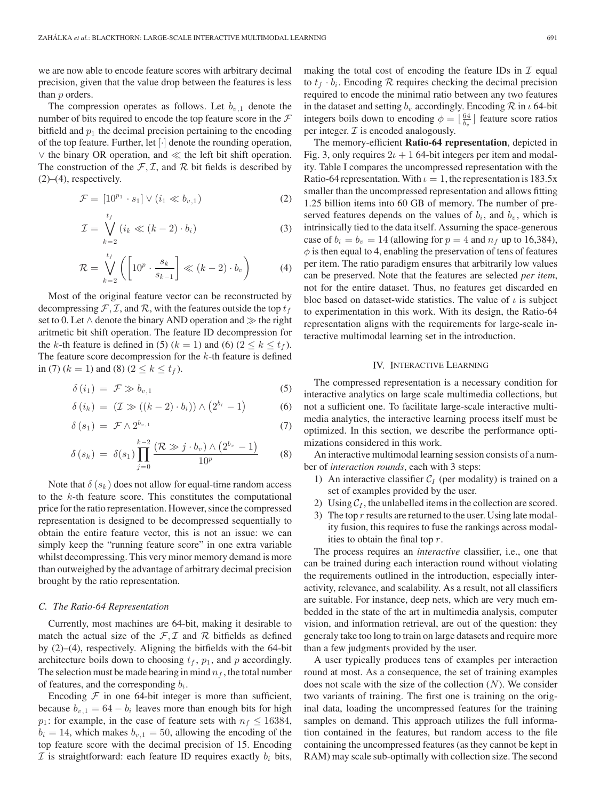we are now able to encode feature scores with arbitrary decimal precision, given that the value drop between the features is less than *p* orders.

The compression operates as follows. Let  $b_{v,1}$  denote the number of bits required to encode the top feature score in the  $\mathcal F$ bitfield and  $p_1$  the decimal precision pertaining to the encoding of the top feature. Further, let [·] denote the rounding operation,  $\vee$  the binary OR operation, and  $\ll$  the left bit shift operation. The construction of the  $F, I$ , and R bit fields is described by  $(2)$ – $(4)$ , respectively.

$$
\mathcal{F} = [10^{p_1} \cdot s_1] \vee (i_1 \ll b_{v,1}) \tag{2}
$$

$$
\mathcal{I} = \bigvee_{k=2}^{t_f} (i_k \ll (k-2) \cdot b_i)
$$
 (3)

$$
\mathcal{R} = \bigvee_{k=2}^{t_f} \left( \left[ 10^p \cdot \frac{s_k}{s_{k-1}} \right] \ll (k-2) \cdot b_v \right) \tag{4}
$$

Most of the original feature vector can be reconstructed by decompressing  $\mathcal{F}, \mathcal{I}$ , and  $\mathcal{R}$ , with the features outside the top  $t_f$ set to 0. Let  $\land$  denote the binary AND operation and  $\gg$  the right aritmetic bit shift operation. The feature ID decompression for the k-th feature is defined in (5) ( $k = 1$ ) and (6) ( $2 \le k \le t_f$ ). The feature score decompression for the  $k$ -th feature is defined in (7) ( $k = 1$ ) and (8) ( $2 \leq k \leq t_f$ ).

$$
\delta(i_1) = \mathcal{F} \gg b_{v,1} \tag{5}
$$

$$
\delta(i_k) = (\mathcal{I} \gg ((k-2) \cdot b_i)) \wedge (2^{b_i} - 1) \tag{6}
$$

$$
\delta(s_1) = \mathcal{F} \wedge 2^{b_{v,1}} \tag{7}
$$

$$
\delta(s_k) = \delta(s_1) \prod_{j=0}^{k-2} \frac{(\mathcal{R} \gg j \cdot b_v) \wedge (2^{b_v} - 1)}{10^p} \qquad (8)
$$

Note that  $\delta(s_k)$  does not allow for equal-time random access to the  $k$ -th feature score. This constitutes the computational price for the ratio representation. However, since the compressed representation is designed to be decompressed sequentially to obtain the entire feature vector, this is not an issue: we can simply keep the "running feature score" in one extra variable whilst decompressing. This very minor memory demand is more than outweighed by the advantage of arbitrary decimal precision brought by the ratio representation.

#### *C. The Ratio-64 Representation*

Currently, most machines are 64-bit, making it desirable to match the actual size of the  $F$ ,  $\mathcal I$  and  $\mathcal R$  bitfields as defined by (2)–(4), respectively. Aligning the bitfields with the 64-bit architecture boils down to choosing  $t_f$ ,  $p_1$ , and  $p$  accordingly. The selection must be made bearing in mind  $n_f$ , the total number of features, and the corresponding  $b_i$ .

Encoding  $F$  in one 64-bit integer is more than sufficient, because  $b_{v,1} = 64 - b_i$  leaves more than enough bits for high  $p_1$ : for example, in the case of feature sets with  $n_f \le 16384$ ,  $b_i = 14$ , which makes  $b_{v,1} = 50$ , allowing the encoding of the top feature score with the decimal precision of 15. Encoding  $I$  is straightforward: each feature ID requires exactly  $b_i$  bits, making the total cost of encoding the feature IDs in  $\mathcal I$  equal to  $t_f \cdot b_i$ . Encoding R requires checking the decimal precision required to encode the minimal ratio between any two features in the dataset and setting  $b_v$  accordingly. Encoding  $R$  in  $\iota$  64-bit integers boils down to encoding  $\phi = \left\lfloor \frac{64}{b_v} \right\rfloor$  feature score ratios per integer.  $\mathcal I$  is encoded analogously.

The memory-efficient **Ratio-64 representation**, depicted in Fig. 3, only requires  $2\iota + 1$  64-bit integers per item and modality. Table I compares the uncompressed representation with the Ratio-64 representation. With  $\iota = 1$ , the representation is 183.5x smaller than the uncompressed representation and allows fitting 1.25 billion items into 60 GB of memory. The number of preserved features depends on the values of  $b_i$ , and  $b_v$ , which is intrinsically tied to the data itself. Assuming the space-generous case of  $b_i = b_v = 14$  (allowing for  $p = 4$  and  $n_f$  up to 16,384),  $\phi$  is then equal to 4, enabling the preservation of tens of features per item. The ratio paradigm ensures that arbitrarily low values can be preserved. Note that the features are selected *per item*, not for the entire dataset. Thus, no features get discarded en bloc based on dataset-wide statistics. The value of  $\iota$  is subject to experimentation in this work. With its design, the Ratio-64 representation aligns with the requirements for large-scale interactive multimodal learning set in the introduction.

#### IV. INTERACTIVE LEARNING

The compressed representation is a necessary condition for interactive analytics on large scale multimedia collections, but not a sufficient one. To facilitate large-scale interactive multimedia analytics, the interactive learning process itself must be optimized. In this section, we describe the performance optimizations considered in this work.

An interactive multimodal learning session consists of a number of *interaction rounds*, each with 3 steps:

- 1) An interactive classifier  $C_I$  (per modality) is trained on a set of examples provided by the user.
- 2) Using  $C_I$ , the unlabelled items in the collection are scored.
- 3) The top  $r$  results are returned to the user. Using late modality fusion, this requires to fuse the rankings across modalities to obtain the final top  $r$ .

The process requires an *interactive* classifier, i.e., one that can be trained during each interaction round without violating the requirements outlined in the introduction, especially interactivity, relevance, and scalability. As a result, not all classifiers are suitable. For instance, deep nets, which are very much embedded in the state of the art in multimedia analysis, computer vision, and information retrieval, are out of the question: they generaly take too long to train on large datasets and require more than a few judgments provided by the user.

A user typically produces tens of examples per interaction round at most. As a consequence, the set of training examples does not scale with the size of the collection  $(N)$ . We consider two variants of training. The first one is training on the original data, loading the uncompressed features for the training samples on demand. This approach utilizes the full information contained in the features, but random access to the file containing the uncompressed features (as they cannot be kept in RAM) may scale sub-optimally with collection size. The second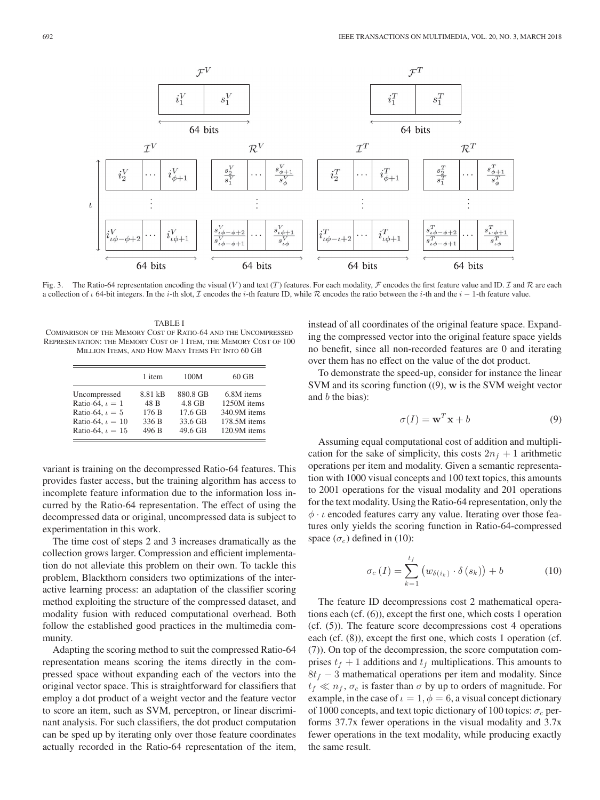

Fig. 3. The Ratio-64 representation encoding the visual (V) and text (T) features. For each modality,  $\mathcal F$  encodes the first feature value and ID.  $\mathcal I$  and  $\mathcal R$  are each a collection of  $\iota$  64-bit integers. In the i-th slot,  $\mathcal I$  encodes the i-th feature ID, while  $\mathcal R$  encodes the ratio between the i-th and the i − 1-th feature value.

TABLE I COMPARISON OF THE MEMORY COST OF RATIO-64 AND THE UNCOMPRESSED REPRESENTATION: THE MEMORY COST OF 1 ITEM, THE MEMORY COST OF 100 MILLION ITEMS, AND HOW MANY ITEMS FIT INTO 60 GB

|                                                                                                                    | 1 item                                     | 100M                                                  | $60$ GB                                                                   |
|--------------------------------------------------------------------------------------------------------------------|--------------------------------------------|-------------------------------------------------------|---------------------------------------------------------------------------|
| Uncompressed<br>Ratio-64, $\iota = 1$<br>Ratio-64, $\iota = 5$<br>Ratio-64, $\iota = 10$<br>Ratio-64, $\iota = 15$ | 8.81 kB<br>48 B<br>176 B<br>336 B<br>496 B | 880.8 GB<br>$4.8$ GB<br>17.6 GB<br>33.6 GB<br>49.6 GB | 6.8M items<br>1250M items<br>340.9M items<br>178.5M items<br>120.9M items |

variant is training on the decompressed Ratio-64 features. This provides faster access, but the training algorithm has access to incomplete feature information due to the information loss incurred by the Ratio-64 representation. The effect of using the decompressed data or original, uncompressed data is subject to experimentation in this work.

The time cost of steps 2 and 3 increases dramatically as the collection grows larger. Compression and efficient implementation do not alleviate this problem on their own. To tackle this problem, Blackthorn considers two optimizations of the interactive learning process: an adaptation of the classifier scoring method exploiting the structure of the compressed dataset, and modality fusion with reduced computational overhead. Both follow the established good practices in the multimedia community.

Adapting the scoring method to suit the compressed Ratio-64 representation means scoring the items directly in the compressed space without expanding each of the vectors into the original vector space. This is straightforward for classifiers that employ a dot product of a weight vector and the feature vector to score an item, such as SVM, perceptron, or linear discriminant analysis. For such classifiers, the dot product computation can be sped up by iterating only over those feature coordinates actually recorded in the Ratio-64 representation of the item,

instead of all coordinates of the original feature space. Expanding the compressed vector into the original feature space yields no benefit, since all non-recorded features are 0 and iterating over them has no effect on the value of the dot product.

To demonstrate the speed-up, consider for instance the linear SVM and its scoring function ((9), **w** is the SVM weight vector and b the bias):

$$
\sigma(I) = \mathbf{w}^T \mathbf{x} + b \tag{9}
$$

Assuming equal computational cost of addition and multiplication for the sake of simplicity, this costs  $2n_f + 1$  arithmetic operations per item and modality. Given a semantic representation with 1000 visual concepts and 100 text topics, this amounts to 2001 operations for the visual modality and 201 operations for the text modality. Using the Ratio-64 representation, only the  $\phi \cdot \iota$  encoded features carry any value. Iterating over those features only yields the scoring function in Ratio-64-compressed space  $(\sigma_c)$  defined in (10):

$$
\sigma_c(I) = \sum_{k=1}^{t_f} \left( w_{\delta(i_k)} \cdot \delta(s_k) \right) + b \tag{10}
$$

The feature ID decompressions cost 2 mathematical operations each (cf. (6)), except the first one, which costs 1 operation (cf. (5)). The feature score decompressions cost 4 operations each (cf. (8)), except the first one, which costs 1 operation (cf. (7)). On top of the decompression, the score computation comprises  $t_f + 1$  additions and  $t_f$  multiplications. This amounts to  $8t_f - 3$  mathematical operations per item and modality. Since  $t_f \ll n_f$ ,  $\sigma_c$  is faster than  $\sigma$  by up to orders of magnitude. For example, in the case of  $\iota = 1, \phi = 6$ , a visual concept dictionary of 1000 concepts, and text topic dictionary of 100 topics:  $\sigma_c$  performs 37.7x fewer operations in the visual modality and 3.7x fewer operations in the text modality, while producing exactly the same result.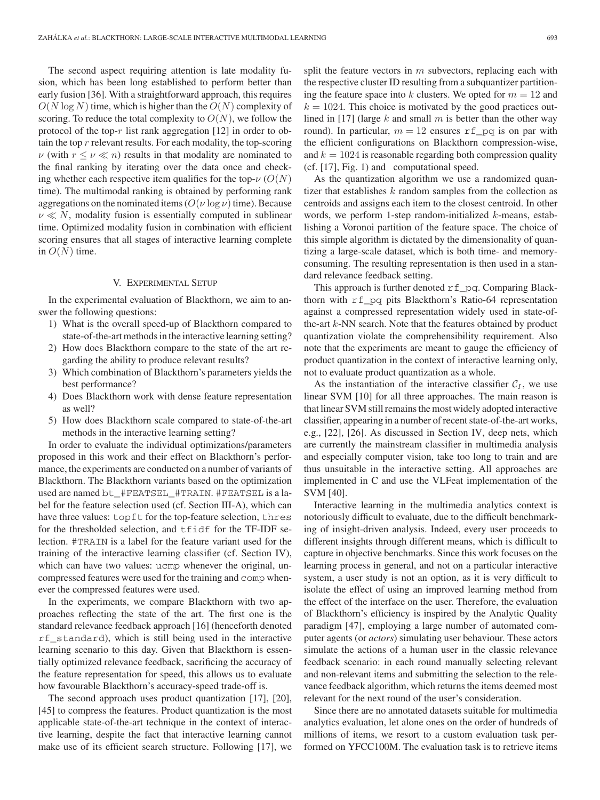The second aspect requiring attention is late modality fusion, which has been long established to perform better than early fusion [36]. With a straightforward approach, this requires  $O(N \log N)$  time, which is higher than the  $O(N)$  complexity of scoring. To reduce the total complexity to  $O(N)$ , we follow the protocol of the top- $r$  list rank aggregation [12] in order to obtain the top  $r$  relevant results. For each modality, the top-scoring  $\nu$  (with  $r \leq \nu \ll n$ ) results in that modality are nominated to the final ranking by iterating over the data once and checking whether each respective item qualifies for the top- $\nu$  ( $O(N)$ ) time). The multimodal ranking is obtained by performing rank aggregations on the nominated items ( $O(\nu \log \nu)$  time). Because  $\nu \ll N$ , modality fusion is essentially computed in sublinear time. Optimized modality fusion in combination with efficient scoring ensures that all stages of interactive learning complete in  $O(N)$  time.

### V. EXPERIMENTAL SETUP

In the experimental evaluation of Blackthorn, we aim to answer the following questions:

- 1) What is the overall speed-up of Blackthorn compared to state-of-the-art methods in the interactive learning setting?
- 2) How does Blackthorn compare to the state of the art regarding the ability to produce relevant results?
- 3) Which combination of Blackthorn's parameters yields the best performance?
- 4) Does Blackthorn work with dense feature representation as well?
- 5) How does Blackthorn scale compared to state-of-the-art methods in the interactive learning setting?

In order to evaluate the individual optimizations/parameters proposed in this work and their effect on Blackthorn's performance, the experiments are conducted on a number of variants of Blackthorn. The Blackthorn variants based on the optimization used are named bt\_#FEATSEL\_#TRAIN. #FEATSEL is a label for the feature selection used (cf. Section III-A), which can have three values: topft for the top-feature selection, thres for the thresholded selection, and tfidf for the TF-IDF selection. #TRAIN is a label for the feature variant used for the training of the interactive learning classifier (cf. Section IV), which can have two values: ucmp whenever the original, uncompressed features were used for the training and comp whenever the compressed features were used.

In the experiments, we compare Blackthorn with two approaches reflecting the state of the art. The first one is the standard relevance feedback approach [16] (henceforth denoted rf\_standard), which is still being used in the interactive learning scenario to this day. Given that Blackthorn is essentially optimized relevance feedback, sacrificing the accuracy of the feature representation for speed, this allows us to evaluate how favourable Blackthorn's accuracy-speed trade-off is.

The second approach uses product quantization [17], [20], [45] to compress the features. Product quantization is the most applicable state-of-the-art technique in the context of interactive learning, despite the fact that interactive learning cannot make use of its efficient search structure. Following [17], we split the feature vectors in  $m$  subvectors, replacing each with the respective cluster ID resulting from a subquantizer partitioning the feature space into k clusters. We opted for  $m = 12$  and  $k = 1024$ . This choice is motivated by the good practices outlined in [17] (large k and small m is better than the other way round). In particular,  $m = 12$  ensures r f pq is on par with the efficient configurations on Blackthorn compression-wise, and  $k = 1024$  is reasonable regarding both compression quality (cf. [17], Fig. 1) and computational speed.

As the quantization algorithm we use a randomized quantizer that establishes  $k$  random samples from the collection as centroids and assigns each item to the closest centroid. In other words, we perform 1-step random-initialized k-means, establishing a Voronoi partition of the feature space. The choice of this simple algorithm is dictated by the dimensionality of quantizing a large-scale dataset, which is both time- and memoryconsuming. The resulting representation is then used in a standard relevance feedback setting.

This approach is further denoted rf\_pq. Comparing Blackthorn with rf\_pq pits Blackthorn's Ratio-64 representation against a compressed representation widely used in state-ofthe-art  $k$ -NN search. Note that the features obtained by product quantization violate the comprehensibility requirement. Also note that the experiments are meant to gauge the efficiency of product quantization in the context of interactive learning only, not to evaluate product quantization as a whole.

As the instantiation of the interactive classifier  $C_I$ , we use linear SVM [10] for all three approaches. The main reason is that linear SVM still remains the most widely adopted interactive classifier, appearing in a number of recent state-of-the-art works, e.g., [22], [26]. As discussed in Section IV, deep nets, which are currently the mainstream classifier in multimedia analysis and especially computer vision, take too long to train and are thus unsuitable in the interactive setting. All approaches are implemented in C and use the VLFeat implementation of the SVM [40].

Interactive learning in the multimedia analytics context is notoriously difficult to evaluate, due to the difficult benchmarking of insight-driven analysis. Indeed, every user proceeds to different insights through different means, which is difficult to capture in objective benchmarks. Since this work focuses on the learning process in general, and not on a particular interactive system, a user study is not an option, as it is very difficult to isolate the effect of using an improved learning method from the effect of the interface on the user. Therefore, the evaluation of Blackthorn's efficiency is inspired by the Analytic Quality paradigm [47], employing a large number of automated computer agents (or *actors*) simulating user behaviour. These actors simulate the actions of a human user in the classic relevance feedback scenario: in each round manually selecting relevant and non-relevant items and submitting the selection to the relevance feedback algorithm, which returns the items deemed most relevant for the next round of the user's consideration.

Since there are no annotated datasets suitable for multimedia analytics evaluation, let alone ones on the order of hundreds of millions of items, we resort to a custom evaluation task performed on YFCC100M. The evaluation task is to retrieve items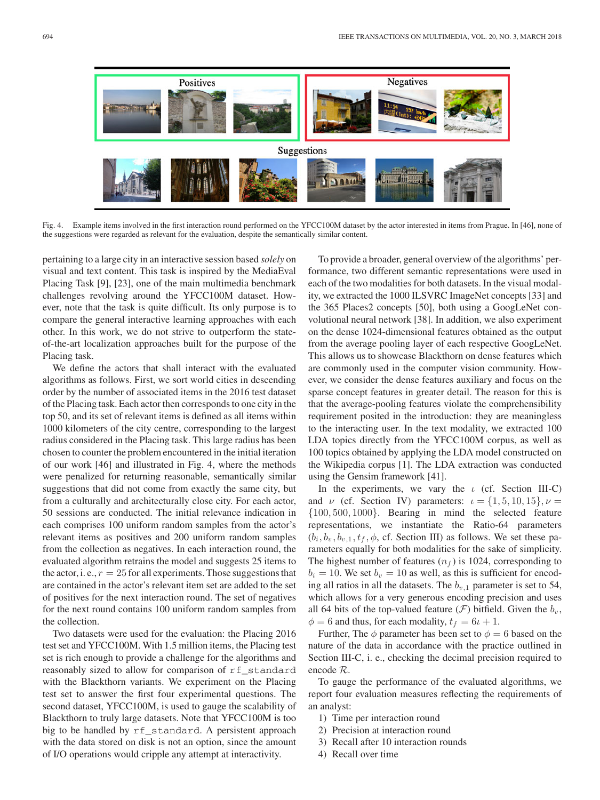

Fig. 4. Example items involved in the first interaction round performed on the YFCC100M dataset by the actor interested in items from Prague. In [46], none of the suggestions were regarded as relevant for the evaluation, despite the semantically similar content.

pertaining to a large city in an interactive session based *solely* on visual and text content. This task is inspired by the MediaEval Placing Task [9], [23], one of the main multimedia benchmark challenges revolving around the YFCC100M dataset. However, note that the task is quite difficult. Its only purpose is to compare the general interactive learning approaches with each other. In this work, we do not strive to outperform the stateof-the-art localization approaches built for the purpose of the Placing task.

We define the actors that shall interact with the evaluated algorithms as follows. First, we sort world cities in descending order by the number of associated items in the 2016 test dataset of the Placing task. Each actor then corresponds to one city in the top 50, and its set of relevant items is defined as all items within 1000 kilometers of the city centre, corresponding to the largest radius considered in the Placing task. This large radius has been chosen to counter the problem encountered in the initial iteration of our work [46] and illustrated in Fig. 4, where the methods were penalized for returning reasonable, semantically similar suggestions that did not come from exactly the same city, but from a culturally and architecturally close city. For each actor, 50 sessions are conducted. The initial relevance indication in each comprises 100 uniform random samples from the actor's relevant items as positives and 200 uniform random samples from the collection as negatives. In each interaction round, the evaluated algorithm retrains the model and suggests 25 items to the actor, i. e.,  $r = 25$  for all experiments. Those suggestions that are contained in the actor's relevant item set are added to the set of positives for the next interaction round. The set of negatives for the next round contains 100 uniform random samples from the collection.

Two datasets were used for the evaluation: the Placing 2016 test set and YFCC100M. With 1.5 million items, the Placing test set is rich enough to provide a challenge for the algorithms and reasonably sized to allow for comparison of rf\_standard with the Blackthorn variants. We experiment on the Placing test set to answer the first four experimental questions. The second dataset, YFCC100M, is used to gauge the scalability of Blackthorn to truly large datasets. Note that YFCC100M is too big to be handled by rf standard. A persistent approach with the data stored on disk is not an option, since the amount of I/O operations would cripple any attempt at interactivity.

To provide a broader, general overview of the algorithms' performance, two different semantic representations were used in each of the two modalities for both datasets. In the visual modality, we extracted the 1000 ILSVRC ImageNet concepts [33] and the 365 Places2 concepts [50], both using a GoogLeNet convolutional neural network [38]. In addition, we also experiment on the dense 1024-dimensional features obtained as the output from the average pooling layer of each respective GoogLeNet. This allows us to showcase Blackthorn on dense features which are commonly used in the computer vision community. However, we consider the dense features auxiliary and focus on the sparse concept features in greater detail. The reason for this is that the average-pooling features violate the comprehensibility requirement posited in the introduction: they are meaningless to the interacting user. In the text modality, we extracted 100 LDA topics directly from the YFCC100M corpus, as well as 100 topics obtained by applying the LDA model constructed on the Wikipedia corpus [1]. The LDA extraction was conducted using the Gensim framework [41].

In the experiments, we vary the  $\iota$  (cf. Section III-C) and  $\nu$  (cf. Section IV) parameters:  $\iota = \{1, 5, 10, 15\}, \nu =$ {100, 500, 1000}. Bearing in mind the selected feature representations, we instantiate the Ratio-64 parameters  $(b_i, b_v, b_{v,1}, t_f, \phi, \text{cf. Section III})$  as follows. We set these parameters equally for both modalities for the sake of simplicity. The highest number of features  $(n_f)$  is 1024, corresponding to  $b_i = 10$ . We set  $b_v = 10$  as well, as this is sufficient for encoding all ratios in all the datasets. The  $b_{v,1}$  parameter is set to 54, which allows for a very generous encoding precision and uses all 64 bits of the top-valued feature  $(F)$  bitfield. Given the  $b_v$ ,  $\phi = 6$  and thus, for each modality,  $t_f = 6\iota + 1$ .

Further, The  $\phi$  parameter has been set to  $\phi = 6$  based on the nature of the data in accordance with the practice outlined in Section III-C, i. e., checking the decimal precision required to encode R.

To gauge the performance of the evaluated algorithms, we report four evaluation measures reflecting the requirements of an analyst:

- 1) Time per interaction round
- 2) Precision at interaction round
- 3) Recall after 10 interaction rounds
- 4) Recall over time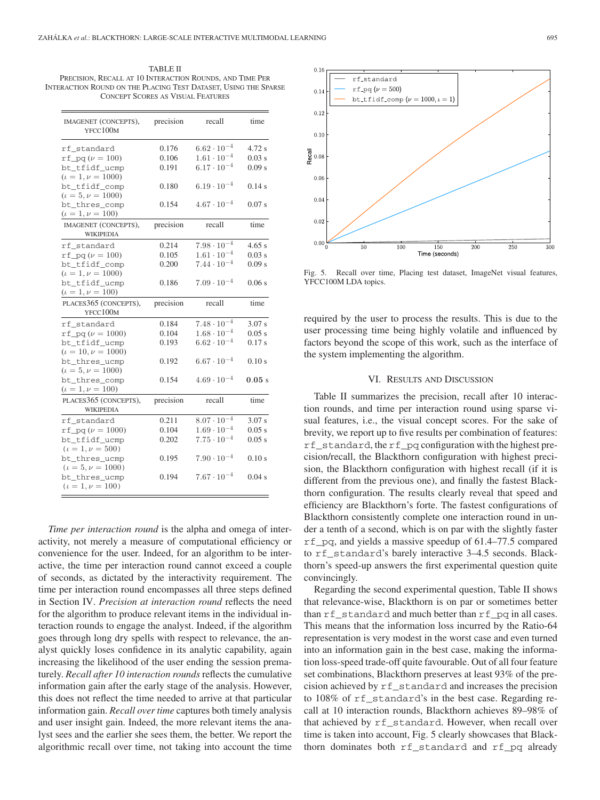TABLE II PRECISION, RECALL AT 10 INTERACTION ROUNDS, AND TIME PER INTERACTION ROUND ON THE PLACING TEST DATASET, USING THE SPARSE CONCEPT SCORES AS VISUAL FEATURES

| IMAGENET (CONCEPTS),<br>YFCC100M                                                        | precision               | recall                                                               | time                       |
|-----------------------------------------------------------------------------------------|-------------------------|----------------------------------------------------------------------|----------------------------|
| rf_standard<br>$rf_pq(\nu = 100)$<br>bt_tfidf_ucmp<br>$(\iota = 1, \nu = 1000)$         | 0.176<br>0.106<br>0.191 | $6.62 \cdot 10^{-4}$<br>$1.61 \cdot 10^{-4}$<br>$6.17 \cdot 10^{-4}$ | 4.72 s<br>0.03 s<br>0.09 s |
| bt_tfidf_comp<br>$(\iota = 5, \nu = 1000)$<br>bt_thres_comp                             | 0.180<br>0.154          | $6.19 \cdot 10^{-4}$<br>$4.67 \cdot 10^{-4}$                         | 0.14 s<br>0.07 s           |
| $(\iota = 1, \nu = 100)$<br>IMAGENET (CONCEPTS),<br><b>WIKIPEDIA</b>                    | precision               | recall                                                               | time                       |
| rf_standard<br>$rf_pq(\nu = 100)$<br>bt_tfidf_comp<br>$(\iota = 1, \nu = 1000)$         | 0.214<br>0.105<br>0.200 | $7.98 \cdot 10^{-4}$<br>$1.61 \cdot 10^{-4}$<br>$7.44 \cdot 10^{-4}$ | 4.65 s<br>0.03 s<br>0.09 s |
| bt_tfidf_ucmp<br>$(\iota = 1, \nu = 100)$                                               | 0.186                   | $7.09 \cdot 10^{-4}$                                                 | 0.06 s                     |
| PLACES365 (CONCEPTS),<br>YFCC100M                                                       | precision               | recall                                                               | time                       |
| rf_standard<br>$rf_{pq}(\nu = 1000)$<br>bt_tfidf_ucmp<br>$(\iota = 10, \nu = 1000)$     | 0.184<br>0.104<br>0.193 | $7.48 \cdot 10^{-4}$<br>$1.68 \cdot 10^{-4}$<br>$6.62 \cdot 10^{-4}$ | 3.07 s<br>0.05 s<br>0.17s  |
| bt_thres_ucmp<br>$(\iota = 5, \nu = 1000)$                                              | 0.192                   | $6.67 \cdot 10^{-4}$                                                 | 0.10 s                     |
| bt_thres_comp<br>$(\iota = 1, \nu = 100)$                                               | 0.154                   | $4.69 \cdot 10^{-4}$                                                 | 0.05s                      |
| PLACES365 (CONCEPTS),<br><b>WIKIPEDIA</b>                                               | precision               | recall                                                               | time                       |
| rf_standard<br>$rf_{pq}(\nu = 1000)$<br>bt_tfidf_ucmp<br>$(\iota = 1, \nu = 500)$       | 0.211<br>0.104<br>0.202 | $8.07 \cdot 10^{-4}$<br>$1.69 \cdot 10^{-4}$<br>$7.75 \cdot 10^{-4}$ | 3.07 s<br>0.05 s<br>0.05 s |
| bt_thres_ucmp<br>$(\iota = 5, \nu = 1000)$<br>bt_thres_ucmp<br>$(\iota = 1, \nu = 100)$ | 0.195<br>0.194          | $7.90 \cdot 10^{-4}$<br>$7.67 \cdot 10^{-4}$                         | 0.10 s<br>0.04 s           |

*Time per interaction round* is the alpha and omega of interactivity, not merely a measure of computational efficiency or convenience for the user. Indeed, for an algorithm to be interactive, the time per interaction round cannot exceed a couple of seconds, as dictated by the interactivity requirement. The time per interaction round encompasses all three steps defined in Section IV. *Precision at interaction round* reflects the need for the algorithm to produce relevant items in the individual interaction rounds to engage the analyst. Indeed, if the algorithm goes through long dry spells with respect to relevance, the analyst quickly loses confidence in its analytic capability, again increasing the likelihood of the user ending the session prematurely. *Recall after 10 interaction rounds* reflects the cumulative information gain after the early stage of the analysis. However, this does not reflect the time needed to arrive at that particular information gain. *Recall over time* captures both timely analysis and user insight gain. Indeed, the more relevant items the analyst sees and the earlier she sees them, the better. We report the algorithmic recall over time, not taking into account the time



Fig. 5. Recall over time, Placing test dataset, ImageNet visual features, YFCC100M LDA topics.

required by the user to process the results. This is due to the user processing time being highly volatile and influenced by factors beyond the scope of this work, such as the interface of the system implementing the algorithm.

#### VI. RESULTS AND DISCUSSION

Table II summarizes the precision, recall after 10 interaction rounds, and time per interaction round using sparse visual features, i.e., the visual concept scores. For the sake of brevity, we report up to five results per combination of features: rf\_standard, the rf\_pq configuration with the highest precision/recall, the Blackthorn configuration with highest precision, the Blackthorn configuration with highest recall (if it is different from the previous one), and finally the fastest Blackthorn configuration. The results clearly reveal that speed and efficiency are Blackthorn's forte. The fastest configurations of Blackthorn consistently complete one interaction round in under a tenth of a second, which is on par with the slightly faster rf\_pq, and yields a massive speedup of 61.4–77.5 compared to rf\_standard's barely interactive 3–4.5 seconds. Blackthorn's speed-up answers the first experimental question quite convincingly.

Regarding the second experimental question, Table II shows that relevance-wise, Blackthorn is on par or sometimes better than rf\_standard and much better than rf\_pq in all cases. This means that the information loss incurred by the Ratio-64 representation is very modest in the worst case and even turned into an information gain in the best case, making the information loss-speed trade-off quite favourable. Out of all four feature set combinations, Blackthorn preserves at least 93% of the precision achieved by rf\_standard and increases the precision to 108% of rf standard's in the best case. Regarding recall at 10 interaction rounds, Blackthorn achieves 89–98% of that achieved by rf\_standard. However, when recall over time is taken into account, Fig. 5 clearly showcases that Blackthorn dominates both rf\_standard and rf\_pq already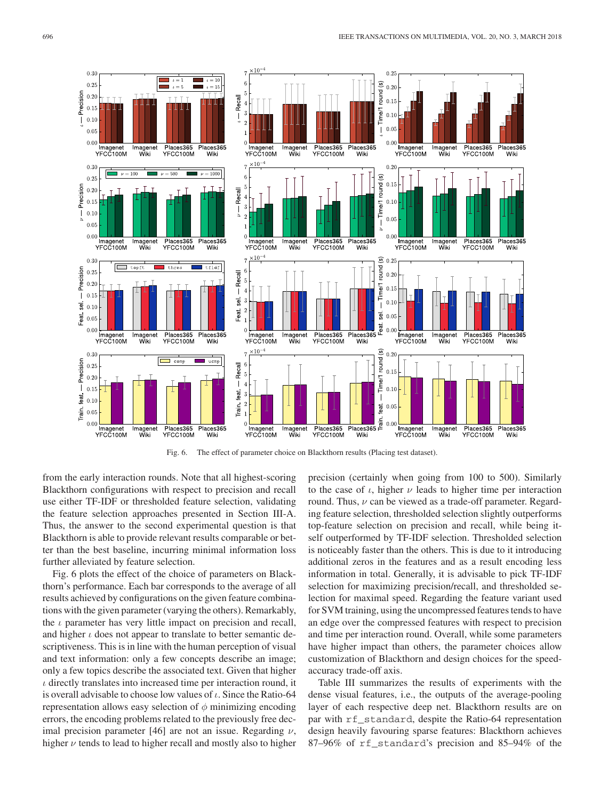

Fig. 6. The effect of parameter choice on Blackthorn results (Placing test dataset).

from the early interaction rounds. Note that all highest-scoring Blackthorn configurations with respect to precision and recall use either TF-IDF or thresholded feature selection, validating the feature selection approaches presented in Section III-A. Thus, the answer to the second experimental question is that Blackthorn is able to provide relevant results comparable or better than the best baseline, incurring minimal information loss further alleviated by feature selection.

Fig. 6 plots the effect of the choice of parameters on Blackthorn's performance. Each bar corresponds to the average of all results achieved by configurations on the given feature combinations with the given parameter (varying the others). Remarkably, the  $\iota$  parameter has very little impact on precision and recall, and higher  $\iota$  does not appear to translate to better semantic descriptiveness. This is in line with the human perception of visual and text information: only a few concepts describe an image; only a few topics describe the associated text. Given that higher  $\iota$  directly translates into increased time per interaction round, it is overall advisable to choose low values of  $\iota$ . Since the Ratio-64 representation allows easy selection of  $\phi$  minimizing encoding errors, the encoding problems related to the previously free decimal precision parameter [46] are not an issue. Regarding  $\nu$ , higher  $\nu$  tends to lead to higher recall and mostly also to higher

precision (certainly when going from 100 to 500). Similarly to the case of  $\iota$ , higher  $\nu$  leads to higher time per interaction round. Thus,  $\nu$  can be viewed as a trade-off parameter. Regarding feature selection, thresholded selection slightly outperforms top-feature selection on precision and recall, while being itself outperformed by TF-IDF selection. Thresholded selection is noticeably faster than the others. This is due to it introducing additional zeros in the features and as a result encoding less information in total. Generally, it is advisable to pick TF-IDF selection for maximizing precision/recall, and thresholded selection for maximal speed. Regarding the feature variant used for SVM training, using the uncompressed features tends to have an edge over the compressed features with respect to precision and time per interaction round. Overall, while some parameters have higher impact than others, the parameter choices allow customization of Blackthorn and design choices for the speedaccuracy trade-off axis.

Table III summarizes the results of experiments with the dense visual features, i.e., the outputs of the average-pooling layer of each respective deep net. Blackthorn results are on par with rf\_standard, despite the Ratio-64 representation design heavily favouring sparse features: Blackthorn achieves 87–96% of rf\_standard's precision and 85–94% of the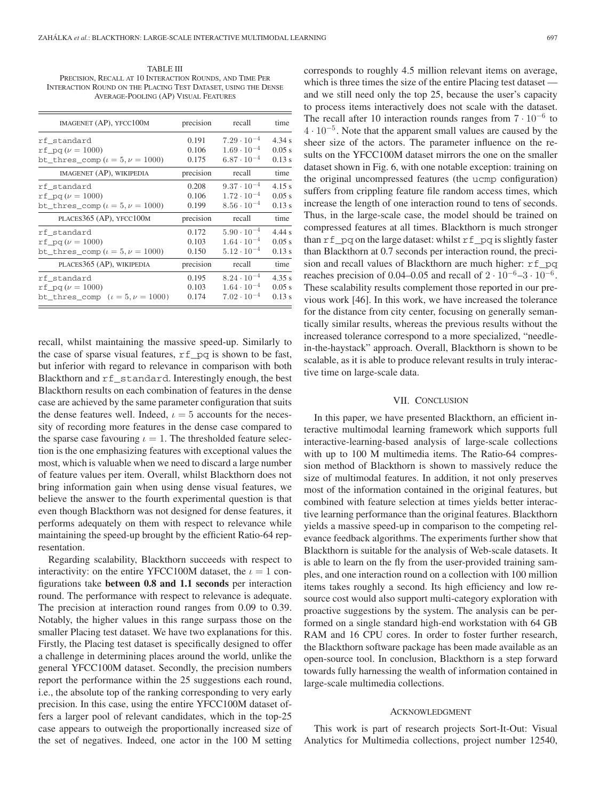TABLE III PRECISION, RECALL AT 10 INTERACTION ROUNDS, AND TIME PER INTERACTION ROUND ON THE PLACING TEST DATASET, USING THE DENSE AVERAGE-POOLING (AP) VISUAL FEATURES

| IMAGENET (AP), YFCC100M                  | precision | recall               | time     |
|------------------------------------------|-----------|----------------------|----------|
| rf standard                              | 0.191     | $7.29 \cdot 10^{-4}$ | 4.34 s   |
| $rf_{pq}(\nu = 1000)$                    | 0.106     | $1.69 \cdot 10^{-4}$ | 0.05 s   |
| bt_thres_comp $(\iota = 5, \nu = 1000)$  | 0.175     | $6.87 \cdot 10^{-4}$ | $0.13$ s |
| IMAGENET (AP), WIKIPEDIA                 | precision | recall               | time     |
| rf_standard                              | 0.208     | $9.37 \cdot 10^{-4}$ | 4.15 s   |
| rf pg $(\nu = 1000)$                     | 0.106     | $1.72 \cdot 10^{-4}$ | 0.05 s   |
| bt_thres_comp( $\iota = 5, \nu = 1000$ ) | 0.199     | $8.56 \cdot 10^{-4}$ | $0.13$ s |
| PLACES365 (AP), YFCC100M                 | precision | recall               | time     |
| rf_standard                              | 0.172     | $5.90 \cdot 10^{-4}$ | 4.44 s   |
| $rf_pq(\nu = 1000)$                      | 0.103     | $1.64 \cdot 10^{-4}$ | 0.05 s   |
| bt_thres_comp( $\iota = 5, \nu = 1000$ ) | 0.150     | $5.12 \cdot 10^{-4}$ | $0.13$ s |
| PLACES 365 (AP), WIKIPEDIA               | precision | recall               | time     |
| rf_standard                              | 0.195     | $8.24 \cdot 10^{-4}$ | 4.35 s   |
| $rf_{pq}(\nu = 1000)$                    | 0.103     | $1.64 \cdot 10^{-4}$ | 0.05 s   |
| bt_thres_comp $(\iota = 5, \nu = 1000)$  | 0.174     | $7.02 \cdot 10^{-4}$ | $0.13$ s |

recall, whilst maintaining the massive speed-up. Similarly to the case of sparse visual features,  $rf\_pq$  is shown to be fast, but inferior with regard to relevance in comparison with both Blackthorn and rf\_standard. Interestingly enough, the best Blackthorn results on each combination of features in the dense case are achieved by the same parameter configuration that suits the dense features well. Indeed,  $\iota = 5$  accounts for the necessity of recording more features in the dense case compared to the sparse case favouring  $\iota = 1$ . The thresholded feature selection is the one emphasizing features with exceptional values the most, which is valuable when we need to discard a large number of feature values per item. Overall, whilst Blackthorn does not bring information gain when using dense visual features, we believe the answer to the fourth experimental question is that even though Blackthorn was not designed for dense features, it performs adequately on them with respect to relevance while maintaining the speed-up brought by the efficient Ratio-64 representation.

Regarding scalability, Blackthorn succeeds with respect to interactivity: on the entire YFCC100M dataset, the  $\iota = 1$  configurations take **between 0.8 and 1.1 seconds** per interaction round. The performance with respect to relevance is adequate. The precision at interaction round ranges from 0.09 to 0.39. Notably, the higher values in this range surpass those on the smaller Placing test dataset. We have two explanations for this. Firstly, the Placing test dataset is specifically designed to offer a challenge in determining places around the world, unlike the general YFCC100M dataset. Secondly, the precision numbers report the performance within the 25 suggestions each round, i.e., the absolute top of the ranking corresponding to very early precision. In this case, using the entire YFCC100M dataset offers a larger pool of relevant candidates, which in the top-25 case appears to outweigh the proportionally increased size of the set of negatives. Indeed, one actor in the 100 M setting

corresponds to roughly 4.5 million relevant items on average, which is three times the size of the entire Placing test dataset and we still need only the top 25, because the user's capacity to process items interactively does not scale with the dataset. The recall after 10 interaction rounds ranges from  $7 \cdot 10^{-6}$  to  $4 \cdot 10^{-5}$ . Note that the apparent small values are caused by the sheer size of the actors. The parameter influence on the results on the YFCC100M dataset mirrors the one on the smaller dataset shown in Fig. 6, with one notable exception: training on the original uncompressed features (the ucmp configuration) suffers from crippling feature file random access times, which increase the length of one interaction round to tens of seconds. Thus, in the large-scale case, the model should be trained on compressed features at all times. Blackthorn is much stronger than  $rf\_pq$  on the large dataset: whilst  $rf\_pq$  is slightly faster than Blackthorn at 0.7 seconds per interaction round, the precision and recall values of Blackthorn are much higher:  $rf$  pq reaches precision of 0.04–0.05 and recall of  $2 \cdot 10^{-6} - 3 \cdot 10^{-6}$ . These scalability results complement those reported in our previous work [46]. In this work, we have increased the tolerance for the distance from city center, focusing on generally semantically similar results, whereas the previous results without the increased tolerance correspond to a more specialized, "needlein-the-haystack" approach. Overall, Blackthorn is shown to be scalable, as it is able to produce relevant results in truly interactive time on large-scale data.

#### VII. CONCLUSION

In this paper, we have presented Blackthorn, an efficient interactive multimodal learning framework which supports full interactive-learning-based analysis of large-scale collections with up to 100 M multimedia items. The Ratio-64 compression method of Blackthorn is shown to massively reduce the size of multimodal features. In addition, it not only preserves most of the information contained in the original features, but combined with feature selection at times yields better interactive learning performance than the original features. Blackthorn yields a massive speed-up in comparison to the competing relevance feedback algorithms. The experiments further show that Blackthorn is suitable for the analysis of Web-scale datasets. It is able to learn on the fly from the user-provided training samples, and one interaction round on a collection with 100 million items takes roughly a second. Its high efficiency and low resource cost would also support multi-category exploration with proactive suggestions by the system. The analysis can be performed on a single standard high-end workstation with 64 GB RAM and 16 CPU cores. In order to foster further research, the Blackthorn software package has been made available as an open-source tool. In conclusion, Blackthorn is a step forward towards fully harnessing the wealth of information contained in large-scale multimedia collections.

#### ACKNOWLEDGMENT

This work is part of research projects Sort-It-Out: Visual Analytics for Multimedia collections, project number 12540,